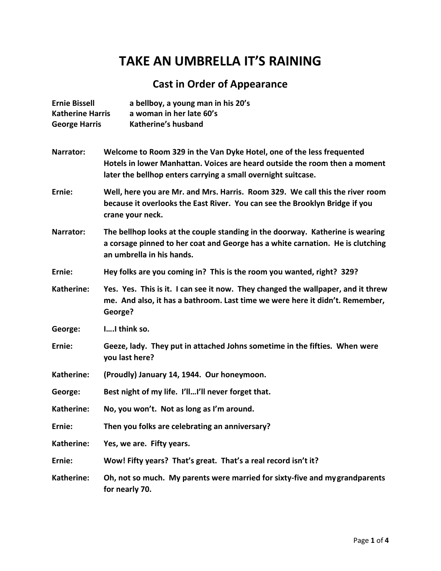## **TAKE AN UMBRELLA IT'S RAINING**

## **Cast in Order of Appearance**

| <b>Ernie Bissell</b><br><b>Katherine Harris</b><br><b>George Harris</b> | a bellboy, a young man in his 20's<br>a woman in her late 60's<br>Katherine's husband                                                                                                                                |
|-------------------------------------------------------------------------|----------------------------------------------------------------------------------------------------------------------------------------------------------------------------------------------------------------------|
| Narrator:                                                               | Welcome to Room 329 in the Van Dyke Hotel, one of the less frequented<br>Hotels in lower Manhattan. Voices are heard outside the room then a moment<br>later the bellhop enters carrying a small overnight suitcase. |
| Ernie:                                                                  | Well, here you are Mr. and Mrs. Harris. Room 329. We call this the river room<br>because it overlooks the East River. You can see the Brooklyn Bridge if you<br>crane your neck.                                     |
| Narrator:                                                               | The bellhop looks at the couple standing in the doorway. Katherine is wearing<br>a corsage pinned to her coat and George has a white carnation. He is clutching<br>an umbrella in his hands.                         |
| Ernie:                                                                  | Hey folks are you coming in? This is the room you wanted, right? 329?                                                                                                                                                |
| Katherine:                                                              | Yes. Yes. This is it. I can see it now. They changed the wallpaper, and it threw<br>me. And also, it has a bathroom. Last time we were here it didn't. Remember,<br>George?                                          |
| George:                                                                 | II think so.                                                                                                                                                                                                         |
| Ernie:                                                                  | Geeze, lady. They put in attached Johns sometime in the fifties. When were<br>you last here?                                                                                                                         |
| Katherine:                                                              | (Proudly) January 14, 1944. Our honeymoon.                                                                                                                                                                           |
| George:                                                                 | Best night of my life. I'llI'll never forget that.                                                                                                                                                                   |
| Katherine:                                                              | No, you won't. Not as long as I'm around.                                                                                                                                                                            |
| Ernie:                                                                  | Then you folks are celebrating an anniversary?                                                                                                                                                                       |
| Katherine:                                                              | Yes, we are. Fifty years.                                                                                                                                                                                            |
| Ernie:                                                                  | Wow! Fifty years? That's great. That's a real record isn't it?                                                                                                                                                       |
| Katherine:                                                              | Oh, not so much. My parents were married for sixty-five and my grand parents<br>for nearly 70.                                                                                                                       |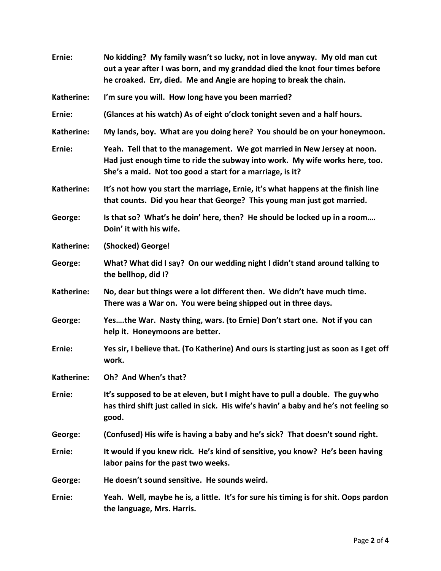| Ernie:            | No kidding? My family wasn't so lucky, not in love anyway. My old man cut<br>out a year after I was born, and my granddad died the knot four times before<br>he croaked. Err, died. Me and Angie are hoping to break the chain. |
|-------------------|---------------------------------------------------------------------------------------------------------------------------------------------------------------------------------------------------------------------------------|
| Katherine:        | I'm sure you will. How long have you been married?                                                                                                                                                                              |
| Ernie:            | (Glances at his watch) As of eight o'clock tonight seven and a half hours.                                                                                                                                                      |
| <b>Katherine:</b> | My lands, boy. What are you doing here? You should be on your honeymoon.                                                                                                                                                        |
| Ernie:            | Yeah. Tell that to the management. We got married in New Jersey at noon.<br>Had just enough time to ride the subway into work. My wife works here, too.<br>She's a maid. Not too good a start for a marriage, is it?            |
| Katherine:        | It's not how you start the marriage, Ernie, it's what happens at the finish line<br>that counts. Did you hear that George? This young man just got married.                                                                     |
| George:           | Is that so? What's he doin' here, then? He should be locked up in a room<br>Doin' it with his wife.                                                                                                                             |
| Katherine:        | (Shocked) George!                                                                                                                                                                                                               |
| George:           | What? What did I say? On our wedding night I didn't stand around talking to<br>the bellhop, did I?                                                                                                                              |
| Katherine:        | No, dear but things were a lot different then. We didn't have much time.<br>There was a War on. You were being shipped out in three days.                                                                                       |
| George:           | Yesthe War. Nasty thing, wars. (to Ernie) Don't start one. Not if you can<br>help it. Honeymoons are better.                                                                                                                    |
| Ernie:            | Yes sir, I believe that. (To Katherine) And ours is starting just as soon as I get off<br>work.                                                                                                                                 |
| Katherine:        | Oh? And When's that?                                                                                                                                                                                                            |
| Ernie:            | It's supposed to be at eleven, but I might have to pull a double. The guy who<br>has third shift just called in sick. His wife's havin' a baby and he's not feeling so<br>good.                                                 |
| George:           | (Confused) His wife is having a baby and he's sick? That doesn't sound right.                                                                                                                                                   |
| Ernie:            | It would if you knew rick. He's kind of sensitive, you know? He's been having<br>labor pains for the past two weeks.                                                                                                            |
| George:           | He doesn't sound sensitive. He sounds weird.                                                                                                                                                                                    |
| Ernie:            | Yeah. Well, maybe he is, a little. It's for sure his timing is for shit. Oops pardon<br>the language, Mrs. Harris.                                                                                                              |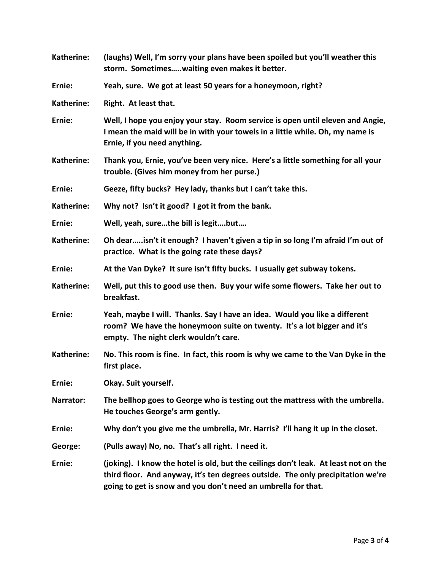| Katherine: | (laughs) Well, I'm sorry your plans have been spoiled but you'll weather this<br>storm. Sometimeswaiting even makes it better.                                                                                                          |
|------------|-----------------------------------------------------------------------------------------------------------------------------------------------------------------------------------------------------------------------------------------|
| Ernie:     | Yeah, sure. We got at least 50 years for a honeymoon, right?                                                                                                                                                                            |
| Katherine: | Right. At least that.                                                                                                                                                                                                                   |
| Ernie:     | Well, I hope you enjoy your stay. Room service is open until eleven and Angie,<br>I mean the maid will be in with your towels in a little while. Oh, my name is<br>Ernie, if you need anything.                                         |
| Katherine: | Thank you, Ernie, you've been very nice. Here's a little something for all your<br>trouble. (Gives him money from her purse.)                                                                                                           |
| Ernie:     | Geeze, fifty bucks? Hey lady, thanks but I can't take this.                                                                                                                                                                             |
| Katherine: | Why not? Isn't it good? I got it from the bank.                                                                                                                                                                                         |
| Ernie:     | Well, yeah, surethe bill is legitbut                                                                                                                                                                                                    |
| Katherine: | Oh dearisn't it enough? I haven't given a tip in so long I'm afraid I'm out of<br>practice. What is the going rate these days?                                                                                                          |
| Ernie:     | At the Van Dyke? It sure isn't fifty bucks. I usually get subway tokens.                                                                                                                                                                |
| Katherine: | Well, put this to good use then. Buy your wife some flowers. Take her out to<br>breakfast.                                                                                                                                              |
| Ernie:     | Yeah, maybe I will. Thanks. Say I have an idea. Would you like a different<br>room? We have the honeymoon suite on twenty. It's a lot bigger and it's<br>empty. The night clerk wouldn't care.                                          |
| Katherine: | No. This room is fine. In fact, this room is why we came to the Van Dyke in the<br>first place.                                                                                                                                         |
| Ernie:     | Okay. Suit yourself.                                                                                                                                                                                                                    |
| Narrator:  | The bellhop goes to George who is testing out the mattress with the umbrella.<br>He touches George's arm gently.                                                                                                                        |
| Ernie:     | Why don't you give me the umbrella, Mr. Harris? I'll hang it up in the closet.                                                                                                                                                          |
| George:    | (Pulls away) No, no. That's all right. I need it.                                                                                                                                                                                       |
| Ernie:     | (joking). I know the hotel is old, but the ceilings don't leak. At least not on the<br>third floor. And anyway, it's ten degrees outside. The only precipitation we're<br>going to get is snow and you don't need an umbrella for that. |